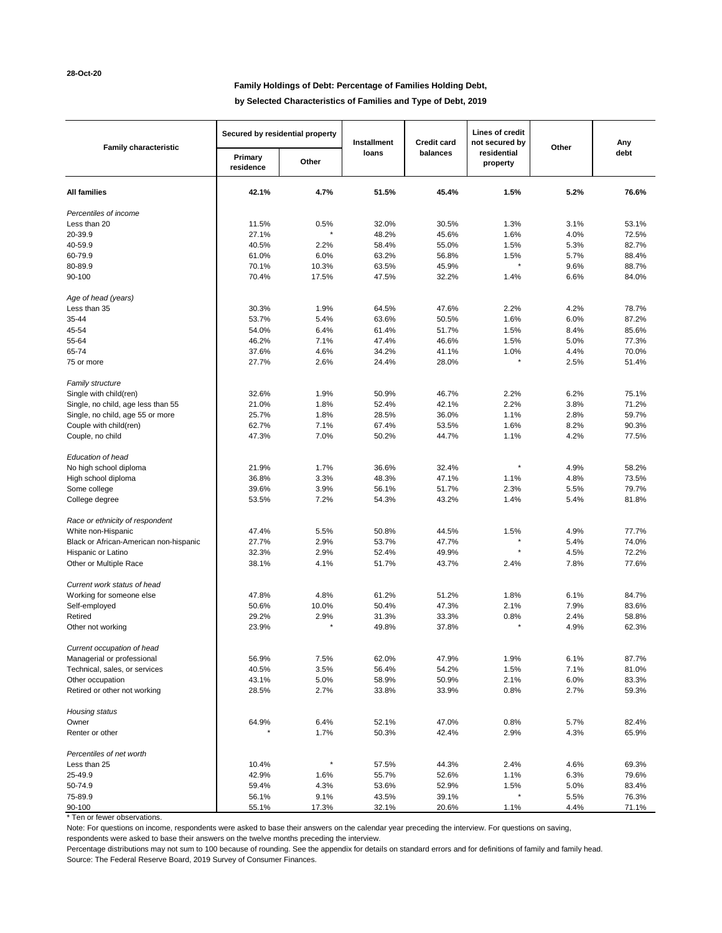# **Family Holdings of Debt: Percentage of Families Holding Debt,**

**by Selected Characteristics of Families and Type of Debt, 2019**

| <b>Family characteristic</b>           | Secured by residential property |         | Installment | <b>Credit card</b> | Lines of credit<br>not secured by | Other | Any   |
|----------------------------------------|---------------------------------|---------|-------------|--------------------|-----------------------------------|-------|-------|
|                                        | Primary<br>residence            | Other   | loans       | balances           | residential<br>property           |       | debt  |
| <b>All families</b>                    | 42.1%                           | 4.7%    | 51.5%       | 45.4%              | 1.5%                              | 5.2%  | 76.6% |
| Percentiles of income                  |                                 |         |             |                    |                                   |       |       |
| Less than 20                           | 11.5%                           | 0.5%    | 32.0%       | 30.5%              | 1.3%                              | 3.1%  | 53.1% |
| 20-39.9                                | 27.1%                           |         | 48.2%       | 45.6%              | 1.6%                              | 4.0%  | 72.5% |
| 40-59.9                                | 40.5%                           | 2.2%    | 58.4%       | 55.0%              | 1.5%                              | 5.3%  | 82.7% |
| 60-79.9                                | 61.0%                           | 6.0%    | 63.2%       | 56.8%              | 1.5%                              | 5.7%  | 88.4% |
| 80-89.9                                | 70.1%                           | 10.3%   | 63.5%       | 45.9%              |                                   | 9.6%  | 88.7% |
| 90-100                                 | 70.4%                           | 17.5%   | 47.5%       | 32.2%              | 1.4%                              | 6.6%  | 84.0% |
| Age of head (years)                    |                                 |         |             |                    |                                   |       |       |
| Less than 35                           | 30.3%                           | 1.9%    | 64.5%       | 47.6%              | 2.2%                              | 4.2%  | 78.7% |
| 35-44                                  | 53.7%                           | 5.4%    | 63.6%       | 50.5%              | 1.6%                              | 6.0%  | 87.2% |
| 45-54                                  | 54.0%                           | 6.4%    | 61.4%       | 51.7%              | 1.5%                              | 8.4%  | 85.6% |
| 55-64                                  | 46.2%                           | 7.1%    | 47.4%       | 46.6%              | 1.5%                              | 5.0%  | 77.3% |
| 65-74                                  | 37.6%                           | 4.6%    | 34.2%       | 41.1%              | 1.0%                              | 4.4%  | 70.0% |
| 75 or more                             | 27.7%                           | 2.6%    | 24.4%       | 28.0%              |                                   | 2.5%  | 51.4% |
| Family structure                       |                                 |         |             |                    |                                   |       |       |
| Single with child(ren)                 | 32.6%                           | 1.9%    | 50.9%       | 46.7%              | 2.2%                              | 6.2%  | 75.1% |
| Single, no child, age less than 55     | 21.0%                           | 1.8%    | 52.4%       | 42.1%              | 2.2%                              | 3.8%  | 71.2% |
| Single, no child, age 55 or more       | 25.7%                           | 1.8%    | 28.5%       | 36.0%              | 1.1%                              | 2.8%  | 59.7% |
| Couple with child(ren)                 | 62.7%                           | 7.1%    | 67.4%       | 53.5%              | 1.6%                              | 8.2%  | 90.3% |
| Couple, no child                       | 47.3%                           | 7.0%    | 50.2%       | 44.7%              | 1.1%                              | 4.2%  | 77.5% |
| Education of head                      |                                 |         |             |                    |                                   |       |       |
| No high school diploma                 | 21.9%                           | 1.7%    | 36.6%       | 32.4%              |                                   | 4.9%  | 58.2% |
| High school diploma                    | 36.8%                           | 3.3%    | 48.3%       | 47.1%              | 1.1%                              | 4.8%  | 73.5% |
| Some college                           | 39.6%                           | 3.9%    | 56.1%       | 51.7%              | 2.3%                              | 5.5%  | 79.7% |
| College degree                         | 53.5%                           | 7.2%    | 54.3%       | 43.2%              | 1.4%                              | 5.4%  | 81.8% |
| Race or ethnicity of respondent        |                                 |         |             |                    |                                   |       |       |
| White non-Hispanic                     | 47.4%                           | 5.5%    | 50.8%       | 44.5%              | 1.5%                              | 4.9%  | 77.7% |
| Black or African-American non-hispanic | 27.7%                           | 2.9%    | 53.7%       | 47.7%              |                                   | 5.4%  | 74.0% |
| Hispanic or Latino                     | 32.3%                           | 2.9%    | 52.4%       | 49.9%              |                                   | 4.5%  | 72.2% |
| Other or Multiple Race                 | 38.1%                           | 4.1%    | 51.7%       | 43.7%              | 2.4%                              | 7.8%  | 77.6% |
| Current work status of head            |                                 |         |             |                    |                                   |       |       |
| Working for someone else               | 47.8%                           | 4.8%    | 61.2%       | 51.2%              | 1.8%                              | 6.1%  | 84.7% |
| Self-employed                          | 50.6%                           | 10.0%   | 50.4%       | 47.3%              | 2.1%                              | 7.9%  | 83.6% |
| Retired                                | 29.2%                           | 2.9%    | 31.3%       | 33.3%              | 0.8%                              | 2.4%  | 58.8% |
| Other not working                      | 23.9%                           |         | 49.8%       | 37.8%              |                                   | 4.9%  | 62.3% |
| Current occupation of head             |                                 |         |             |                    |                                   |       |       |
| Managerial or professional             | 56.9%                           | 7.5%    | 62.0%       | 47.9%              | 1.9%                              | 6.1%  | 87.7% |
| Technical, sales, or services          | 40.5%                           | 3.5%    | 56.4%       | 54.2%              | 1.5%                              | 7.1%  | 81.0% |
| Other occupation                       | 43.1%                           | 5.0%    | 58.9%       | 50.9%              | 2.1%                              | 6.0%  | 83.3% |
| Retired or other not working           | 28.5%                           | 2.7%    | 33.8%       | 33.9%              | 0.8%                              | 2.7%  | 59.3% |
| Housing status                         |                                 |         |             |                    |                                   |       |       |
| Owner                                  | 64.9%                           | 6.4%    | 52.1%       | 47.0%              | 0.8%                              | 5.7%  | 82.4% |
| Renter or other                        |                                 | 1.7%    | 50.3%       | 42.4%              | 2.9%                              | 4.3%  | 65.9% |
| Percentiles of net worth               |                                 |         |             |                    |                                   |       |       |
| Less than 25                           | 10.4%                           | $\star$ | 57.5%       | 44.3%              | 2.4%                              | 4.6%  | 69.3% |
| 25-49.9                                | 42.9%                           | 1.6%    | 55.7%       | 52.6%              | 1.1%                              | 6.3%  | 79.6% |
| 50-74.9                                | 59.4%                           | 4.3%    | 53.6%       | 52.9%              | 1.5%                              | 5.0%  | 83.4% |
| 75-89.9                                | 56.1%                           | 9.1%    | 43.5%       | 39.1%              |                                   | 5.5%  | 76.3% |
| 90-100                                 | 55.1%                           | 17.3%   | 32.1%       | 20.6%              | 1.1%                              | 4.4%  | 71.1% |

\* Ten or fewer observations.

Note: For questions on income, respondents were asked to base their answers on the calendar year preceding the interview. For questions on saving,

respondents were asked to base their answers on the twelve months preceding the interview.

Percentage distributions may not sum to 100 because of rounding. See the appendix for details on standard errors and for definitions of family and family head. Source: The Federal Reserve Board, 2019 Survey of Consumer Finances.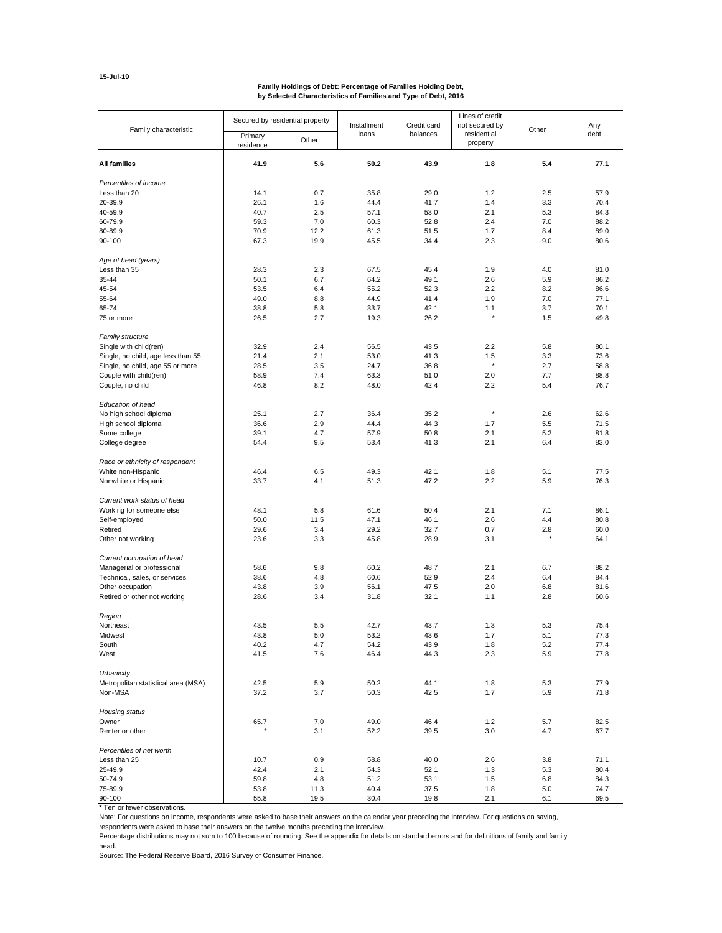# **15-Jul-19**

#### **Family Holdings of Debt: Percentage of Families Holding Debt, by Selected Characteristics of Families and Type of Debt, 2016**

| Family characteristic               | Secured by residential property |       | Installment  | Credit card  | Lines of credit<br>not secured by |            | Any<br>debt  |
|-------------------------------------|---------------------------------|-------|--------------|--------------|-----------------------------------|------------|--------------|
|                                     | Primary<br>residence            | Other | loans        | balances     | residential<br>property           | Other      |              |
| <b>All families</b>                 | 41.9                            | 5.6   | 50.2         | 43.9         | 1.8                               | 5.4        | 77.1         |
| Percentiles of income               |                                 |       |              |              |                                   |            |              |
| Less than 20                        | 14.1                            | 0.7   | 35.8         | 29.0         | 1.2                               | 2.5        | 57.9         |
| 20-39.9                             | 26.1                            | 1.6   | 44.4         | 41.7         | 1.4                               | 3.3        | 70.4         |
| 40-59.9                             | 40.7                            | 2.5   | 57.1         | 53.0         | 2.1                               | 5.3        | 84.3         |
| 60-79.9                             | 59.3                            | 7.0   | 60.3         | 52.8         | 2.4                               | 7.0        | 88.2         |
| 80-89.9                             | 70.9                            | 12.2  | 61.3         | 51.5         | 1.7                               | 8.4        | 89.0         |
| 90-100                              | 67.3                            | 19.9  | 45.5         | 34.4         | 2.3                               | 9.0        | 80.6         |
| Age of head (years)                 |                                 |       |              |              |                                   |            |              |
| Less than 35                        | 28.3                            | 2.3   | 67.5         | 45.4         | 1.9                               | 4.0        | 81.0         |
| 35-44                               | 50.1                            | 6.7   | 64.2         | 49.1         | 2.6                               | 5.9        | 86.2         |
| 45-54                               | 53.5                            | 6.4   | 55.2         | 52.3         | 2.2                               | 8.2        | 86.6         |
| 55-64                               | 49.0                            | 8.8   | 44.9         | 41.4         | 1.9                               | 7.0        | 77.1         |
| 65-74                               | 38.8                            | 5.8   | 33.7         | 42.1         | 1.1                               | 3.7        | 70.1         |
| 75 or more                          | 26.5                            | 2.7   | 19.3         | 26.2         | ×                                 | 1.5        | 49.8         |
| Family structure                    |                                 |       |              |              |                                   |            |              |
| Single with child(ren)              | 32.9                            | 2.4   | 56.5         | 43.5         | 2.2                               | 5.8        | 80.1         |
| Single, no child, age less than 55  | 21.4                            | 2.1   | 53.0         | 41.3         | 1.5<br>$\star$                    | 3.3        | 73.6         |
| Single, no child, age 55 or more    | 28.5                            | 3.5   | 24.7         | 36.8         |                                   | 2.7        | 58.8         |
| Couple with child(ren)              | 58.9                            | 7.4   | 63.3         | 51.0         | 2.0                               | 7.7        | 88.8         |
| Couple, no child                    | 46.8                            | 8.2   | 48.0         | 42.4         | 2.2                               | 5.4        | 76.7         |
| Education of head                   |                                 |       |              |              |                                   |            |              |
| No high school diploma              | 25.1                            | 2.7   | 36.4         | 35.2         | $\star$                           | 2.6        | 62.6         |
| High school diploma                 | 36.6                            | 2.9   | 44.4         | 44.3         | 1.7                               | 5.5        | 71.5         |
| Some college                        | 39.1                            | 4.7   | 57.9         | 50.8         | 2.1                               | 5.2        | 81.8         |
| College degree                      | 54.4                            | 9.5   | 53.4         | 41.3         | 2.1                               | 6.4        | 83.0         |
| Race or ethnicity of respondent     |                                 |       |              |              |                                   |            |              |
| White non-Hispanic                  | 46.4                            | 6.5   | 49.3         | 42.1         | 1.8                               | 5.1        | 77.5         |
| Nonwhite or Hispanic                | 33.7                            | 4.1   | 51.3         | 47.2         | 2.2                               | 5.9        | 76.3         |
| Current work status of head         |                                 |       |              |              |                                   |            |              |
| Working for someone else            | 48.1                            | 5.8   | 61.6         | 50.4         | 2.1                               | 7.1        | 86.1         |
| Self-employed                       | 50.0                            | 11.5  | 47.1         | 46.1         | 2.6                               | 4.4        | 80.8         |
| Retired                             | 29.6                            | 3.4   | 29.2         | 32.7         | 0.7                               | 2.8        | 60.0         |
| Other not working                   | 23.6                            | 3.3   | 45.8         | 28.9         | 3.1                               |            | 64.1         |
| Current occupation of head          |                                 |       |              |              |                                   |            |              |
| Managerial or professional          | 58.6                            | 9.8   | 60.2         | 48.7         | 2.1                               | 6.7        | 88.2         |
| Technical, sales, or services       | 38.6                            | 4.8   | 60.6         | 52.9         | 2.4                               | 6.4        | 84.4         |
| Other occupation                    | 43.8                            | 3.9   | 56.1         | 47.5         | 2.0                               | 6.8        | 81.6         |
| Retired or other not working        | 28.6                            | 3.4   | 31.8         | 32.1         | 1.1                               | 2.8        | 60.6         |
| Region                              |                                 |       |              |              |                                   |            |              |
| Northeast                           | 43.5                            | 5.5   | 42.7         | 43.7         | 1.3                               | 5.3        | 75.4         |
| Midwest                             | 43.8                            | 5.0   | 53.2         | 43.6         | 1.7                               | 5.1        | 77.3         |
| South                               | 40.2                            | 4.7   | 54.2         | 43.9         | 1.8                               | 5.2        | 77.4         |
| West                                | 41.5                            | 7.6   | 46.4         | 44.3         | 2.3                               | 5.9        | 77.8         |
| Urbanicity                          |                                 |       |              |              |                                   |            |              |
| Metropolitan statistical area (MSA) | 42.5                            | 5.9   | 50.2         | 44.1         | 1.8                               | 5.3        | 77.9         |
| Non-MSA                             | 37.2                            | 3.7   | 50.3         | 42.5         | 1.7                               | 5.9        | 71.8         |
| Housing status                      |                                 |       |              |              |                                   |            |              |
| Owner                               | 65.7                            | 7.0   | 49.0         | 46.4         | 1.2                               | 5.7        | 82.5         |
| Renter or other                     |                                 | 3.1   | 52.2         | 39.5         | 3.0                               | 4.7        | 67.7         |
| Percentiles of net worth            |                                 |       |              |              |                                   |            |              |
| Less than 25                        | 10.7                            | 0.9   | 58.8         | 40.0         | 2.6                               | 3.8        | 71.1         |
| 25-49.9                             | 42.4                            | 2.1   | 54.3         | 52.1         | 1.3                               | 5.3        | 80.4         |
| 50-74.9                             | 59.8                            | 4.8   | 51.2         | 53.1         | 1.5                               | 6.8        | 84.3         |
| 75-89.9<br>90-100                   | 53.8<br>55.8                    | 11.3  | 40.4<br>30.4 | 37.5<br>19.8 | 1.8                               | 5.0<br>6.1 | 74.7<br>69.5 |
|                                     |                                 | 19.5  |              |              | 2.1                               |            |              |

\* Ten or fewer observations.

Note: For questions on income, respondents were asked to base their answers on the calendar year preceding the interview. For questions on saving,

respondents were asked to base their answers on the twelve months preceding the interview.

Percentage distributions may not sum to 100 because of rounding. See the appendix for details on standard errors and for definitions of family and family head.

Source: The Federal Reserve Board, 2016 Survey of Consumer Finance.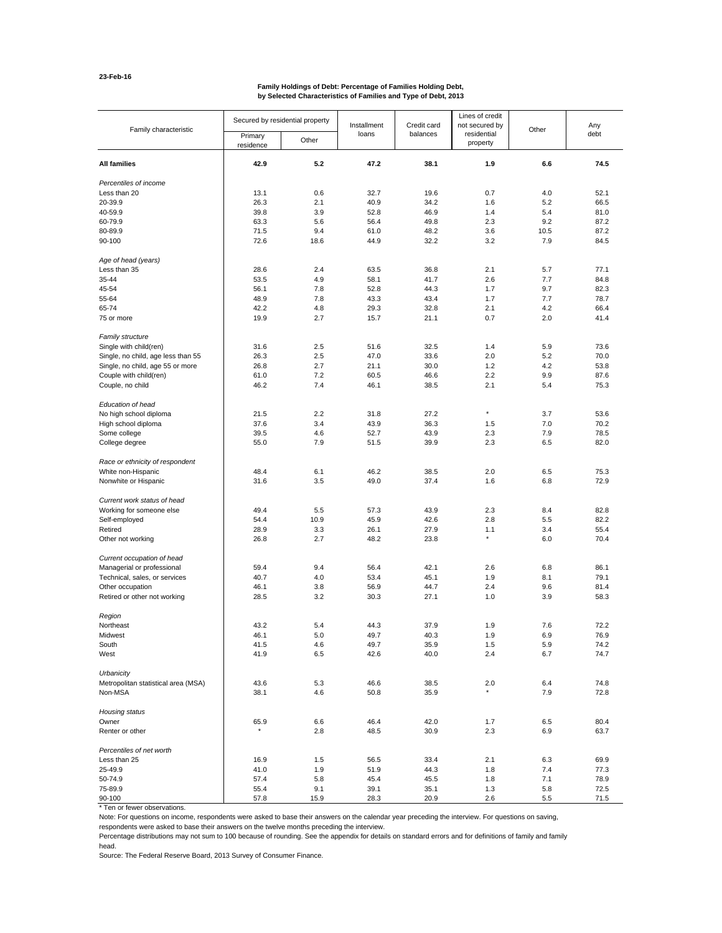#### **Family Holdings of Debt: Percentage of Families Holding Debt, by Selected Characteristics of Families and Type of Debt, 2013**

| Family characteristic               |                      | Secured by residential property | Installment | Credit card | Lines of credit<br>not secured by |       | Any  |
|-------------------------------------|----------------------|---------------------------------|-------------|-------------|-----------------------------------|-------|------|
|                                     | Primary<br>residence | Other                           | loans       | balances    | residential<br>property           | Other | debt |
| All families                        | 42.9                 | 5.2                             | 47.2        | 38.1        | 1.9                               | 6.6   | 74.5 |
| Percentiles of income               |                      |                                 |             |             |                                   |       |      |
| Less than 20                        | 13.1                 | 0.6                             | 32.7        | 19.6        | 0.7                               | 4.0   | 52.1 |
| 20-39.9                             | 26.3                 | 2.1                             | 40.9        | 34.2        | 1.6                               | 5.2   | 66.5 |
| 40-59.9                             | 39.8                 | 3.9                             | 52.8        | 46.9        | 1.4                               | 5.4   | 81.0 |
| 60-79.9                             | 63.3                 | 5.6                             | 56.4        | 49.8        | 2.3                               | 9.2   | 87.2 |
| 80-89.9                             | 71.5                 | 9.4                             | 61.0        | 48.2        | 3.6                               | 10.5  | 87.2 |
| 90-100                              | 72.6                 | 18.6                            | 44.9        | 32.2        | 3.2                               | 7.9   | 84.5 |
| Age of head (years)                 |                      |                                 |             |             |                                   |       |      |
| Less than 35                        | 28.6                 | 2.4                             | 63.5        | 36.8        | 2.1                               | 5.7   | 77.1 |
| 35-44                               | 53.5                 | 4.9                             | 58.1        | 41.7        | 2.6                               | 7.7   | 84.8 |
| 45-54                               | 56.1                 | 7.8                             | 52.8        | 44.3        | 1.7                               | 9.7   | 82.3 |
| 55-64                               | 48.9                 | 7.8                             | 43.3        | 43.4        | 1.7                               | 7.7   | 78.7 |
| 65-74                               | 42.2                 | 4.8                             | 29.3        | 32.8        | 2.1                               | 4.2   | 66.4 |
| 75 or more                          | 19.9                 | 2.7                             | 15.7        | 21.1        | 0.7                               | 2.0   | 41.4 |
| <b>Family structure</b>             |                      |                                 |             |             |                                   |       |      |
| Single with child(ren)              | 31.6                 | 2.5                             | 51.6        | 32.5        | 1.4                               | 5.9   | 73.6 |
| Single, no child, age less than 55  | 26.3                 | 2.5                             | 47.0        | 33.6        | 2.0                               | 5.2   | 70.0 |
| Single, no child, age 55 or more    | 26.8                 | 2.7                             | 21.1        | 30.0        | 1.2                               | 4.2   | 53.8 |
| Couple with child(ren)              | 61.0                 | 7.2                             | 60.5        | 46.6        | 2.2                               | 9.9   | 87.6 |
| Couple, no child                    | 46.2                 | 7.4                             | 46.1        | 38.5        | 2.1                               | 5.4   | 75.3 |
| Education of head                   |                      |                                 |             |             |                                   |       |      |
| No high school diploma              | 21.5                 | 2.2                             | 31.8        | 27.2        | $\star$                           | 3.7   | 53.6 |
| High school diploma                 | 37.6                 | 3.4                             | 43.9        | 36.3        | 1.5                               | 7.0   | 70.2 |
| Some college                        | 39.5                 | 4.6                             | 52.7        | 43.9        | 2.3                               | 7.9   | 78.5 |
| College degree                      | 55.0                 | 7.9                             | 51.5        | 39.9        | 2.3                               | 6.5   | 82.0 |
| Race or ethnicity of respondent     |                      |                                 |             |             |                                   |       |      |
| White non-Hispanic                  | 48.4                 | 6.1                             | 46.2        | 38.5        | 2.0                               | 6.5   | 75.3 |
| Nonwhite or Hispanic                | 31.6                 | 3.5                             | 49.0        | 37.4        | 1.6                               | 6.8   | 72.9 |
|                                     |                      |                                 |             |             |                                   |       |      |
| Current work status of head         |                      |                                 |             |             |                                   |       |      |
| Working for someone else            | 49.4                 | 5.5                             | 57.3        | 43.9        | 2.3                               | 8.4   | 82.8 |
| Self-employed                       | 54.4                 | 10.9                            | 45.9        | 42.6        | 2.8                               | 5.5   | 82.2 |
| Retired                             | 28.9                 | 3.3                             | 26.1        | 27.9        | 1.1<br>$^\star$                   | 3.4   | 55.4 |
| Other not working                   | 26.8                 | 2.7                             | 48.2        | 23.8        |                                   | 6.0   | 70.4 |
| Current occupation of head          |                      |                                 |             |             |                                   |       |      |
| Managerial or professional          | 59.4                 | 9.4                             | 56.4        | 42.1        | 2.6                               | 6.8   | 86.1 |
| Technical, sales, or services       | 40.7                 | 4.0                             | 53.4        | 45.1        | 1.9                               | 8.1   | 79.1 |
| Other occupation                    | 46.1                 | 3.8                             | 56.9        | 44.7        | 2.4                               | 9.6   | 81.4 |
| Retired or other not working        | 28.5                 | 3.2                             | 30.3        | 27.1        | 1.0                               | 3.9   | 58.3 |
| Region                              |                      |                                 |             |             |                                   |       |      |
| Northeast                           | 43.2                 | 5.4                             | 44.3        | 37.9        | 1.9                               | 7.6   | 72.2 |
| Midwest                             | 46.1                 | 5.0                             | 49.7        | 40.3        | 1.9                               | 6.9   | 76.9 |
| South                               | 41.5                 | 4.6                             | 49.7        | 35.9        | 1.5                               | 5.9   | 74.2 |
| West                                | 41.9                 | 6.5                             | 42.6        | 40.0        | 2.4                               | 6.7   | 74.7 |
| Urbanicity                          |                      |                                 |             |             |                                   |       |      |
| Metropolitan statistical area (MSA) | 43.6                 | 5.3                             | 46.6        | 38.5        | 2.0                               | 6.4   | 74.8 |
| Non-MSA                             | 38.1                 | 4.6                             | 50.8        | 35.9        |                                   | 7.9   | 72.8 |
| Housing status                      |                      |                                 |             |             |                                   |       |      |
| Owner                               | 65.9                 | 6.6                             | 46.4        | 42.0        | 1.7                               | 6.5   | 80.4 |
| Renter or other                     | $^\star$             | 2.8                             | 48.5        | 30.9        | 2.3                               | 6.9   | 63.7 |
| Percentiles of net worth            |                      |                                 |             |             |                                   |       |      |
| Less than 25                        | 16.9                 | 1.5                             | 56.5        | 33.4        | 2.1                               | 6.3   | 69.9 |
| 25-49.9                             | 41.0                 | 1.9                             | 51.9        | 44.3        | 1.8                               | 7.4   | 77.3 |
| 50-74.9                             | 57.4                 | 5.8                             | 45.4        | 45.5        | 1.8                               | 7.1   | 78.9 |
| 75-89.9                             | 55.4                 | 9.1                             | 39.1        | 35.1        | 1.3                               | 5.8   | 72.5 |
| 90-100                              | 57.8                 | 15.9                            | 28.3        | 20.9        | 2.6                               | 5.5   | 71.5 |

\* Ten or fewer observations.

Note: For questions on income, respondents were asked to base their answers on the calendar year preceding the interview. For questions on saving,

respondents were asked to base their answers on the twelve months preceding the interview.

Percentage distributions may not sum to 100 because of rounding. See the appendix for details on standard errors and for definitions of family and family head.

Source: The Federal Reserve Board, 2013 Survey of Consumer Finance.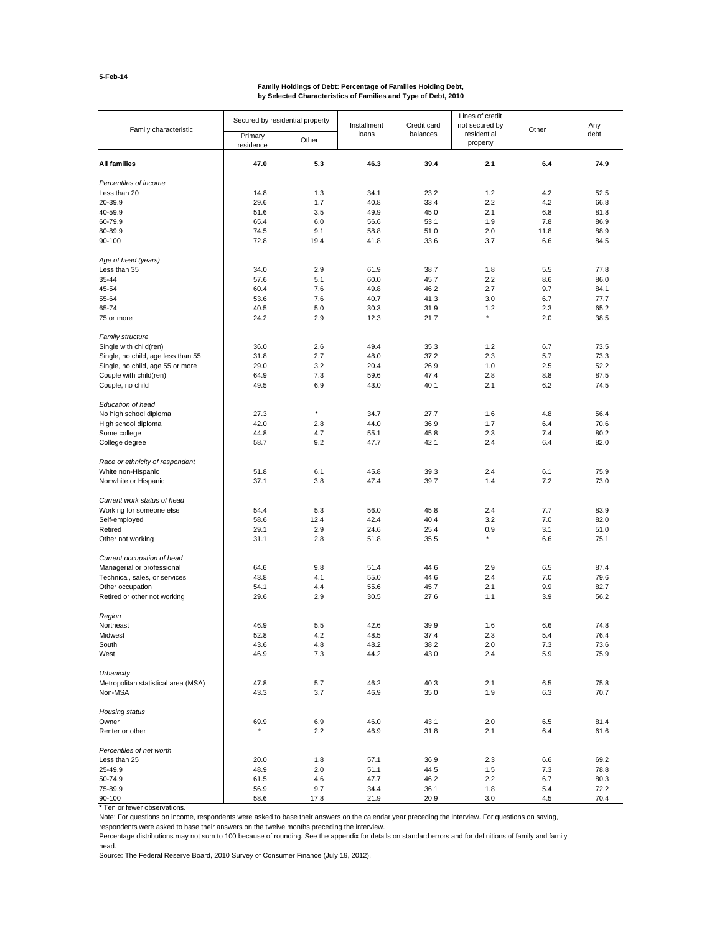#### **Family Holdings of Debt: Percentage of Families Holding Debt, by Selected Characteristics of Families and Type of Debt, 2010**

| Family characteristic               | Secured by residential property |          | Installment | Credit card | Lines of credit<br>not secured by |       | Any  |
|-------------------------------------|---------------------------------|----------|-------------|-------------|-----------------------------------|-------|------|
|                                     | Primary<br>residence            | Other    | loans       | balances    | residential<br>property           | Other | debt |
| All families                        | 47.0                            | 5.3      | 46.3        | 39.4        | 2.1                               | 6.4   | 74.9 |
| Percentiles of income               |                                 |          |             |             |                                   |       |      |
| Less than 20                        | 14.8                            | 1.3      | 34.1        | 23.2        | 1.2                               | 4.2   | 52.5 |
| 20-39.9                             | 29.6                            | 1.7      | 40.8        | 33.4        | 2.2                               | 4.2   | 66.8 |
| 40-59.9                             | 51.6                            | 3.5      | 49.9        | 45.0        | 2.1                               | 6.8   | 81.8 |
| 60-79.9                             | 65.4                            | 6.0      |             |             | 1.9                               | 7.8   | 86.9 |
|                                     |                                 |          | 56.6        | 53.1        |                                   |       |      |
| 80-89.9                             | 74.5                            | 9.1      | 58.8        | 51.0        | 2.0                               | 11.8  | 88.9 |
| 90-100                              | 72.8                            | 19.4     | 41.8        | 33.6        | 3.7                               | 6.6   | 84.5 |
| Age of head (years)                 |                                 |          |             |             |                                   |       |      |
| Less than 35                        | 34.0                            | 2.9      | 61.9        | 38.7        | 1.8                               | 5.5   | 77.8 |
| 35-44                               | 57.6                            | 5.1      | 60.0        | 45.7        | 2.2                               | 8.6   | 86.0 |
| 45-54                               | 60.4                            | 7.6      | 49.8        | 46.2        | 2.7                               | 9.7   | 84.1 |
| 55-64                               | 53.6                            | 7.6      | 40.7        | 41.3        | 3.0                               | 6.7   | 77.7 |
| 65-74                               | 40.5                            | 5.0      | 30.3        | 31.9        | 1.2                               | 2.3   | 65.2 |
| 75 or more                          | 24.2                            | 2.9      | 12.3        | 21.7        | $\star$                           | 2.0   | 38.5 |
| <b>Family structure</b>             |                                 |          |             |             |                                   |       |      |
| Single with child(ren)              | 36.0                            | 2.6      | 49.4        | 35.3        | 1.2                               | 6.7   | 73.5 |
| Single, no child, age less than 55  | 31.8                            | 2.7      | 48.0        | 37.2        | 2.3                               | 5.7   | 73.3 |
| Single, no child, age 55 or more    | 29.0                            | 3.2      | 20.4        | 26.9        | 1.0                               | 2.5   | 52.2 |
| Couple with child(ren)              | 64.9                            | 7.3      | 59.6        | 47.4        | 2.8                               | 8.8   | 87.5 |
| Couple, no child                    | 49.5                            | 6.9      | 43.0        | 40.1        | 2.1                               | 6.2   | 74.5 |
|                                     |                                 |          |             |             |                                   |       |      |
| Education of head                   |                                 |          |             |             |                                   |       |      |
| No high school diploma              | 27.3                            | $^\star$ | 34.7        | 27.7        | 1.6                               | 4.8   | 56.4 |
| High school diploma                 | 42.0                            | 2.8      | 44.0        | 36.9        | 1.7                               | 6.4   | 70.6 |
| Some college                        | 44.8                            | 4.7      | 55.1        | 45.8        | 2.3                               | 7.4   | 80.2 |
| College degree                      | 58.7                            | 9.2      | 47.7        | 42.1        | 2.4                               | 6.4   | 82.0 |
|                                     |                                 |          |             |             |                                   |       |      |
| Race or ethnicity of respondent     |                                 |          |             |             |                                   |       |      |
| White non-Hispanic                  | 51.8                            | 6.1      | 45.8        | 39.3        | 2.4                               | 6.1   | 75.9 |
| Nonwhite or Hispanic                | 37.1                            | 3.8      | 47.4        | 39.7        | 1.4                               | 7.2   | 73.0 |
| Current work status of head         |                                 |          |             |             |                                   |       |      |
| Working for someone else            | 54.4                            | 5.3      | 56.0        | 45.8        | 2.4                               | 7.7   | 83.9 |
| Self-employed                       | 58.6                            | 12.4     | 42.4        | 40.4        | 3.2                               | 7.0   | 82.0 |
| Retired                             | 29.1                            | 2.9      | 24.6        | 25.4        | 0.9                               | 3.1   | 51.0 |
| Other not working                   | 31.1                            | 2.8      | 51.8        | 35.5        | $^\star$                          | 6.6   | 75.1 |
| Current occupation of head          |                                 |          |             |             |                                   |       |      |
| Managerial or professional          | 64.6                            | 9.8      | 51.4        | 44.6        | 2.9                               | 6.5   | 87.4 |
| Technical, sales, or services       | 43.8                            | 4.1      | 55.0        | 44.6        | 2.4                               | 7.0   | 79.6 |
| Other occupation                    | 54.1                            | 4.4      | 55.6        | 45.7        | 2.1                               | 9.9   | 82.7 |
| Retired or other not working        | 29.6                            | 2.9      | 30.5        | 27.6        | 1.1                               | 3.9   | 56.2 |
|                                     |                                 |          |             |             |                                   |       |      |
| Region                              |                                 |          |             |             |                                   |       |      |
| Northeast                           | 46.9                            | 5.5      | 42.6        | 39.9        | 1.6                               | 6.6   | 74.8 |
| Midwest                             | 52.8                            | 4.2      | 48.5        | 37.4        | 2.3                               | 5.4   | 76.4 |
| South                               | 43.6                            | 4.8      | 48.2        | 38.2        | 2.0                               | 7.3   | 73.6 |
| West                                | 46.9                            | 7.3      | 44.2        | 43.0        | 2.4                               | 5.9   | 75.9 |
| Urbanicity                          |                                 |          |             |             |                                   |       |      |
| Metropolitan statistical area (MSA) | 47.8                            | 5.7      | 46.2        | 40.3        | 2.1                               | 6.5   | 75.8 |
| Non-MSA                             | 43.3                            | 3.7      | 46.9        | 35.0        | 1.9                               | 6.3   | 70.7 |
| Housing status                      |                                 |          |             |             |                                   |       |      |
| Owner                               | 69.9                            | 6.9      | 46.0        | 43.1        | 2.0                               | 6.5   | 81.4 |
| Renter or other                     | $\star$                         | 2.2      | 46.9        | 31.8        | 2.1                               | 6.4   | 61.6 |
| Percentiles of net worth            |                                 |          |             |             |                                   |       |      |
| Less than 25                        | 20.0                            | 1.8      | 57.1        | 36.9        | 2.3                               | 6.6   | 69.2 |
| 25-49.9                             | 48.9                            | 2.0      | 51.1        | 44.5        | 1.5                               | 7.3   | 78.8 |
| 50-74.9                             | 61.5                            | 4.6      | 47.7        | 46.2        | 2.2                               | 6.7   | 80.3 |
| 75-89.9                             | 56.9                            | 9.7      | 34.4        | 36.1        | 1.8                               | 5.4   | 72.2 |
| 90-100                              | 58.6                            | 17.8     | 21.9        | 20.9        | 3.0                               | 4.5   | 70.4 |
|                                     |                                 |          |             |             |                                   |       |      |

\* Ten or fewer observations.

Note: For questions on income, respondents were asked to base their answers on the calendar year preceding the interview. For questions on saving,

respondents were asked to base their answers on the twelve months preceding the interview.

Percentage distributions may not sum to 100 because of rounding. See the appendix for details on standard errors and for definitions of family and family head.

Source: The Federal Reserve Board, 2010 Survey of Consumer Finance (July 19, 2012).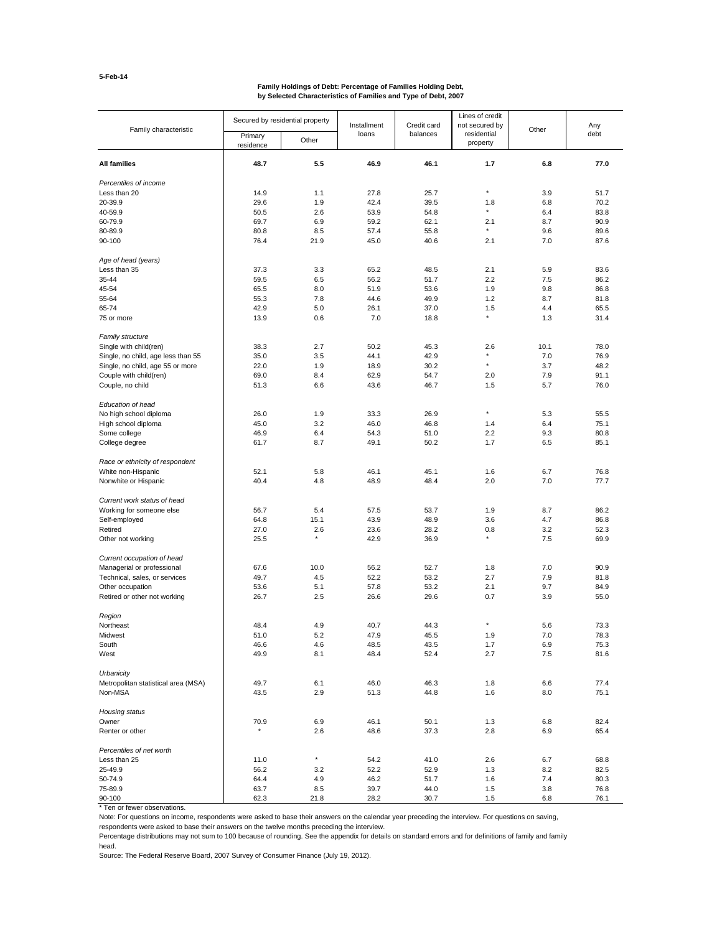#### **Family Holdings of Debt: Percentage of Families Holding Debt, by Selected Characteristics of Families and Type of Debt, 2007**

| Family characteristic               | Secured by residential property |          | Installment | Credit card | Lines of credit<br>not secured by |       | Any  |
|-------------------------------------|---------------------------------|----------|-------------|-------------|-----------------------------------|-------|------|
|                                     | Primary<br>residence            | Other    | loans       | balances    | residential<br>property           | Other | debt |
| All families                        | 48.7                            | 5.5      | 46.9        | 46.1        | 1.7                               | 6.8   | 77.0 |
| Percentiles of income               |                                 |          |             |             |                                   |       |      |
| Less than 20                        | 14.9                            | 1.1      | 27.8        | 25.7        | $^\star$                          | 3.9   | 51.7 |
| 20-39.9                             | 29.6                            | 1.9      | 42.4        | 39.5        | 1.8                               | 6.8   | 70.2 |
| 40-59.9                             | 50.5                            | 2.6      | 53.9        | 54.8        | $\star$                           | 6.4   | 83.8 |
| 60-79.9                             | 69.7                            | 6.9      | 59.2        | 62.1        | 2.1                               | 8.7   | 90.9 |
| 80-89.9                             | 80.8                            | 8.5      | 57.4        | 55.8        |                                   | 9.6   | 89.6 |
| 90-100                              | 76.4                            | 21.9     | 45.0        | 40.6        | 2.1                               | 7.0   | 87.6 |
| Age of head (years)                 |                                 |          |             |             |                                   |       |      |
| Less than 35                        | 37.3                            | 3.3      | 65.2        | 48.5        | 2.1                               | 5.9   | 83.6 |
| 35-44                               | 59.5                            | 6.5      | 56.2        | 51.7        | 2.2                               | 7.5   | 86.2 |
| 45-54                               | 65.5                            | 8.0      | 51.9        | 53.6        | 1.9                               | 9.8   | 86.8 |
| 55-64                               | 55.3                            | 7.8      | 44.6        | 49.9        | 1.2                               | 8.7   | 81.8 |
| 65-74                               | 42.9                            | 5.0      | 26.1        | 37.0        | 1.5                               | 4.4   | 65.5 |
| 75 or more                          | 13.9                            | 0.6      | 7.0         | 18.8        | $\star$                           | 1.3   | 31.4 |
| <b>Family structure</b>             |                                 |          |             |             |                                   |       |      |
| Single with child(ren)              | 38.3                            | 2.7      | 50.2        | 45.3        | 2.6                               | 10.1  | 78.0 |
| Single, no child, age less than 55  | 35.0                            | 3.5      | 44.1        | 42.9        | $\star$                           | 7.0   | 76.9 |
| Single, no child, age 55 or more    | 22.0                            | 1.9      | 18.9        | 30.2        | $\star$                           | 3.7   | 48.2 |
| Couple with child(ren)              | 69.0                            | 8.4      | 62.9        | 54.7        | 2.0                               | 7.9   | 91.1 |
| Couple, no child                    | 51.3                            | 6.6      | 43.6        | 46.7        | 1.5                               | 5.7   | 76.0 |
| Education of head                   |                                 |          |             |             |                                   |       |      |
| No high school diploma              | 26.0                            | 1.9      | 33.3        | 26.9        | ×                                 | 5.3   | 55.5 |
| High school diploma                 | 45.0                            | 3.2      | 46.0        | 46.8        | 1.4                               | 6.4   | 75.1 |
| Some college                        | 46.9                            | 6.4      | 54.3        | 51.0        | 2.2                               | 9.3   | 80.8 |
|                                     |                                 | 8.7      |             |             | 1.7                               |       | 85.1 |
| College degree                      | 61.7                            |          | 49.1        | 50.2        |                                   | 6.5   |      |
| Race or ethnicity of respondent     |                                 |          |             |             |                                   |       |      |
| White non-Hispanic                  | 52.1                            | 5.8      | 46.1        | 45.1        | 1.6                               | 6.7   | 76.8 |
| Nonwhite or Hispanic                | 40.4                            | 4.8      | 48.9        | 48.4        | 2.0                               | 7.0   | 77.7 |
| Current work status of head         |                                 |          |             |             |                                   |       |      |
| Working for someone else            | 56.7                            | 5.4      | 57.5        | 53.7        | 1.9                               | 8.7   | 86.2 |
| Self-employed                       | 64.8                            | 15.1     | 43.9        | 48.9        | 3.6                               | 4.7   | 86.8 |
| Retired                             | 27.0                            | 2.6      | 23.6        | 28.2        | 0.8                               | 3.2   | 52.3 |
| Other not working                   | 25.5                            | $^\star$ | 42.9        | 36.9        | $\star$                           | 7.5   | 69.9 |
| Current occupation of head          |                                 |          |             |             |                                   |       |      |
| Managerial or professional          | 67.6                            | 10.0     | 56.2        | 52.7        | 1.8                               | 7.0   | 90.9 |
| Technical, sales, or services       | 49.7                            | 4.5      | 52.2        | 53.2        | 2.7                               | 7.9   | 81.8 |
| Other occupation                    | 53.6                            | 5.1      | 57.8        | 53.2        | 2.1                               | 9.7   | 84.9 |
| Retired or other not working        | 26.7                            | 2.5      | 26.6        | 29.6        | 0.7                               | 3.9   | 55.0 |
| Region                              |                                 |          |             |             |                                   |       |      |
| Northeast                           | 48.4                            | 4.9      | 40.7        | 44.3        | ×                                 | 5.6   | 73.3 |
| Midwest                             | 51.0                            | 5.2      | 47.9        | 45.5        | 1.9                               | 7.0   | 78.3 |
| South                               | 46.6                            | 4.6      | 48.5        | 43.5        | 1.7                               | 6.9   | 75.3 |
| West                                | 49.9                            | 8.1      | 48.4        | 52.4        | 2.7                               | 7.5   | 81.6 |
| Urbanicity                          |                                 |          |             |             |                                   |       |      |
| Metropolitan statistical area (MSA) | 49.7                            | 6.1      | 46.0        | 46.3        | 1.8                               | 6.6   | 77.4 |
| Non-MSA                             | 43.5                            | 2.9      | 51.3        | 44.8        | 1.6                               | 8.0   | 75.1 |
| Housing status                      |                                 |          |             |             |                                   |       |      |
| Owner                               | 70.9                            | 6.9      | 46.1        | 50.1        | 1.3                               | 6.8   | 82.4 |
| Renter or other                     | $\star$                         | 2.6      | 48.6        | 37.3        | 2.8                               | 6.9   | 65.4 |
| Percentiles of net worth            |                                 |          |             |             |                                   |       |      |
| Less than 25                        | 11.0                            | $^\star$ | 54.2        | 41.0        | 2.6                               | 6.7   | 68.8 |
| 25-49.9                             | 56.2                            | 3.2      | 52.2        | 52.9        | 1.3                               | 8.2   | 82.5 |
| 50-74.9                             | 64.4                            | 4.9      | 46.2        | 51.7        | 1.6                               | 7.4   | 80.3 |
| 75-89.9                             | 63.7                            | 8.5      | 39.7        | 44.0        | 1.5                               | 3.8   | 76.8 |
| 90-100                              | 62.3                            | 21.8     | 28.2        | 30.7        | 1.5                               | 6.8   | 76.1 |

\* Ten or fewer observations.

Note: For questions on income, respondents were asked to base their answers on the calendar year preceding the interview. For questions on saving,

respondents were asked to base their answers on the twelve months preceding the interview.

Percentage distributions may not sum to 100 because of rounding. See the appendix for details on standard errors and for definitions of family and family head.

Source: The Federal Reserve Board, 2007 Survey of Consumer Finance (July 19, 2012).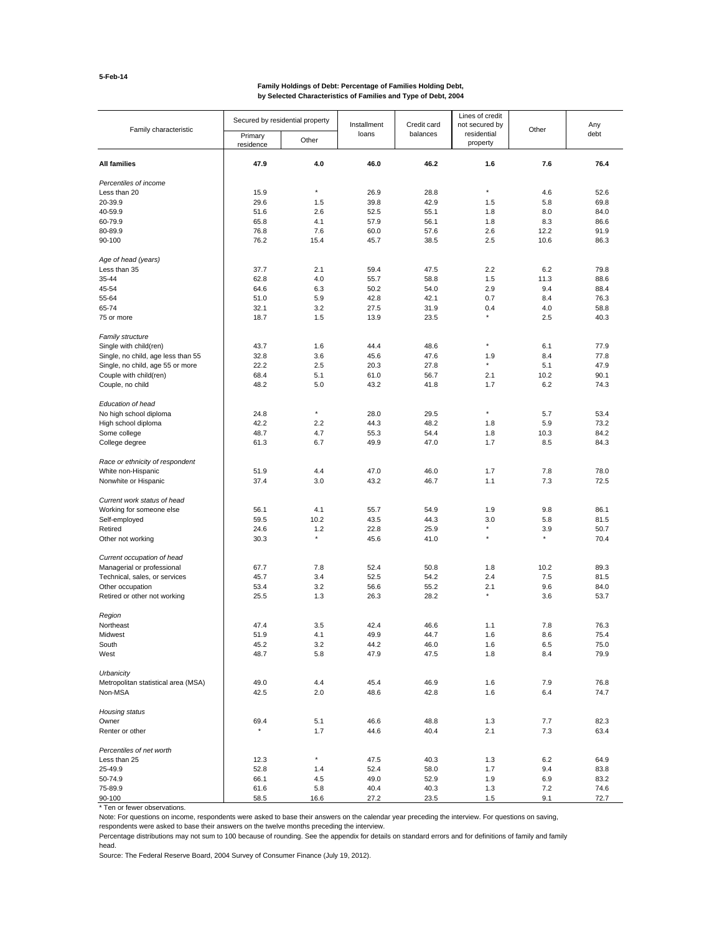#### **Family Holdings of Debt: Percentage of Families Holding Debt, by Selected Characteristics of Families and Type of Debt, 2004**

| Family characteristic                             | Secured by residential property |                | Installment  | Credit card  | Lines of credit<br>not secured by | Other          | Any<br>debt  |
|---------------------------------------------------|---------------------------------|----------------|--------------|--------------|-----------------------------------|----------------|--------------|
|                                                   | Primary<br>residence            | Other          | loans        | balances     | residential<br>property           |                |              |
| All families                                      | 47.9                            | 4.0            | 46.0         | 46.2         | 1.6                               | 7.6            | 76.4         |
| Percentiles of income                             |                                 |                |              |              |                                   |                |              |
| Less than 20                                      | 15.9                            | $\star$        | 26.9         | 28.8         | $^\star$                          | 4.6            | 52.6         |
| 20-39.9                                           | 29.6                            | 1.5            | 39.8         | 42.9         | 1.5                               | 5.8            | 69.8         |
| 40-59.9                                           | 51.6                            | 2.6            | 52.5         | 55.1         | 1.8                               | 8.0            | 84.0         |
| 60-79.9                                           | 65.8                            | 4.1            | 57.9         | 56.1         | 1.8                               | 8.3            | 86.6         |
| 80-89.9                                           | 76.8                            | 7.6            | 60.0         | 57.6         | 2.6                               | 12.2           | 91.9         |
| 90-100                                            | 76.2                            | 15.4           | 45.7         | 38.5         | 2.5                               | 10.6           | 86.3         |
| Age of head (years)                               |                                 |                |              |              |                                   |                |              |
| Less than 35                                      | 37.7                            | 2.1            | 59.4         | 47.5         | 2.2                               | 6.2            | 79.8         |
| 35-44                                             | 62.8                            | 4.0            | 55.7         | 58.8         | 1.5                               | 11.3           | 88.6         |
| 45-54                                             | 64.6                            | 6.3            | 50.2         | 54.0         | 2.9                               | 9.4            | 88.4         |
| 55-64                                             | 51.0                            | 5.9            | 42.8         | 42.1         | 0.7                               | 8.4            | 76.3         |
| 65-74                                             | 32.1                            | 3.2            | 27.5         | 31.9         | 0.4                               | 4.0            | 58.8         |
| 75 or more                                        | 18.7                            | 1.5            | 13.9         | 23.5         | $\star$                           | 2.5            | 40.3         |
| <b>Family structure</b><br>Single with child(ren) | 43.7                            | 1.6            | 44.4         | 48.6         | $\star$                           | 6.1            | 77.9         |
| Single, no child, age less than 55                | 32.8                            | 3.6            | 45.6         | 47.6         | 1.9                               | 8.4            | 77.8         |
| Single, no child, age 55 or more                  | 22.2                            | 2.5            | 20.3         | 27.8         | $\star$                           | 5.1            | 47.9         |
| Couple with child(ren)                            | 68.4                            | 5.1            | 61.0         | 56.7         | 2.1                               | 10.2           | 90.1         |
| Couple, no child                                  | 48.2                            | 5.0            | 43.2         | 41.8         | 1.7                               | 6.2            | 74.3         |
| Education of head                                 |                                 |                |              |              |                                   |                |              |
| No high school diploma                            | 24.8                            | $\star$        | 28.0         | 29.5         | $\star$                           | 5.7            | 53.4         |
| High school diploma                               | 42.2                            | 2.2            | 44.3         | 48.2         | 1.8                               | 5.9            | 73.2         |
| Some college                                      | 48.7                            | 4.7            | 55.3         | 54.4         | 1.8                               | 10.3           | 84.2         |
| College degree                                    | 61.3                            | 6.7            | 49.9         | 47.0         | 1.7                               | 8.5            | 84.3         |
| Race or ethnicity of respondent                   |                                 |                |              |              |                                   |                |              |
| White non-Hispanic                                | 51.9                            | 4.4            | 47.0         | 46.0         | 1.7                               | 7.8            | 78.0         |
| Nonwhite or Hispanic                              | 37.4                            | 3.0            | 43.2         | 46.7         | 1.1                               | 7.3            | 72.5         |
| Current work status of head                       |                                 |                |              |              |                                   |                |              |
| Working for someone else                          | 56.1                            | 4.1            | 55.7         | 54.9         | 1.9                               | 9.8            | 86.1         |
| Self-employed                                     | 59.5                            | 10.2           | 43.5         | 44.3         | 3.0                               | 5.8            | 81.5         |
| Retired                                           | 24.6                            | 1.2<br>$\star$ | 22.8         | 25.9         | $\star$                           | 3.9<br>$\star$ | 50.7         |
| Other not working                                 | 30.3                            |                | 45.6         | 41.0         |                                   |                | 70.4         |
| Current occupation of head                        |                                 |                |              |              |                                   |                |              |
| Managerial or professional                        | 67.7                            | 7.8            | 52.4         | 50.8         | 1.8                               | 10.2           | 89.3         |
| Technical, sales, or services                     | 45.7                            | 3.4            | 52.5         | 54.2         | 2.4                               | 7.5            | 81.5         |
| Other occupation                                  | 53.4                            | 3.2            | 56.6         | 55.2         | 2.1                               | 9.6            | 84.0         |
| Retired or other not working                      | 25.5                            | 1.3            | 26.3         | 28.2         |                                   | 3.6            | 53.7         |
| Region                                            |                                 |                |              |              |                                   |                |              |
| Northeast                                         | 47.4                            | 3.5            | 42.4         | 46.6         | 1.1                               | 7.8            | 76.3         |
| Midwest                                           | 51.9                            | 4.1            | 49.9         | 44.7         | 1.6                               | 8.6            | 75.4         |
| South                                             | 45.2                            | 3.2            | 44.2         | 46.0         | 1.6                               | 6.5            | 75.0         |
| West                                              | 48.7                            | 5.8            | 47.9         | 47.5         | 1.8                               | 8.4            | 79.9         |
| Urbanicity                                        |                                 |                |              |              |                                   |                |              |
| Metropolitan statistical area (MSA)               | 49.0                            | 4.4            | 45.4         | 46.9         | 1.6                               | 7.9            | 76.8         |
| Non-MSA                                           | 42.5                            | 2.0            | 48.6         | 42.8         | 1.6                               | 6.4            | 74.7         |
| Housing status                                    |                                 |                |              |              |                                   |                |              |
| Owner                                             | 69.4                            | 5.1            | 46.6         | 48.8         | 1.3                               | 7.7            | 82.3         |
| Renter or other                                   |                                 | 1.7            | 44.6         | 40.4         | 2.1                               | 7.3            | 63.4         |
| Percentiles of net worth                          |                                 | $^\star$       |              |              |                                   |                |              |
| Less than 25                                      | 12.3                            |                | 47.5         | 40.3         | 1.3                               | 6.2            | 64.9         |
| 25-49.9                                           | 52.8                            | 1.4            | 52.4         | 58.0         | 1.7                               | 9.4            | 83.8         |
| 50-74.9<br>75-89.9                                | 66.1                            | 4.5            | 49.0         | 52.9         | 1.9                               | 6.9            | 83.2         |
| 90-100                                            | 61.6<br>58.5                    | 5.8<br>16.6    | 40.4<br>27.2 | 40.3<br>23.5 | 1.3<br>1.5                        | 7.2<br>9.1     | 74.6<br>72.7 |
|                                                   |                                 |                |              |              |                                   |                |              |

\* Ten or fewer observations.

Note: For questions on income, respondents were asked to base their answers on the calendar year preceding the interview. For questions on saving,

respondents were asked to base their answers on the twelve months preceding the interview.

Percentage distributions may not sum to 100 because of rounding. See the appendix for details on standard errors and for definitions of family and family head.

Source: The Federal Reserve Board, 2004 Survey of Consumer Finance (July 19, 2012).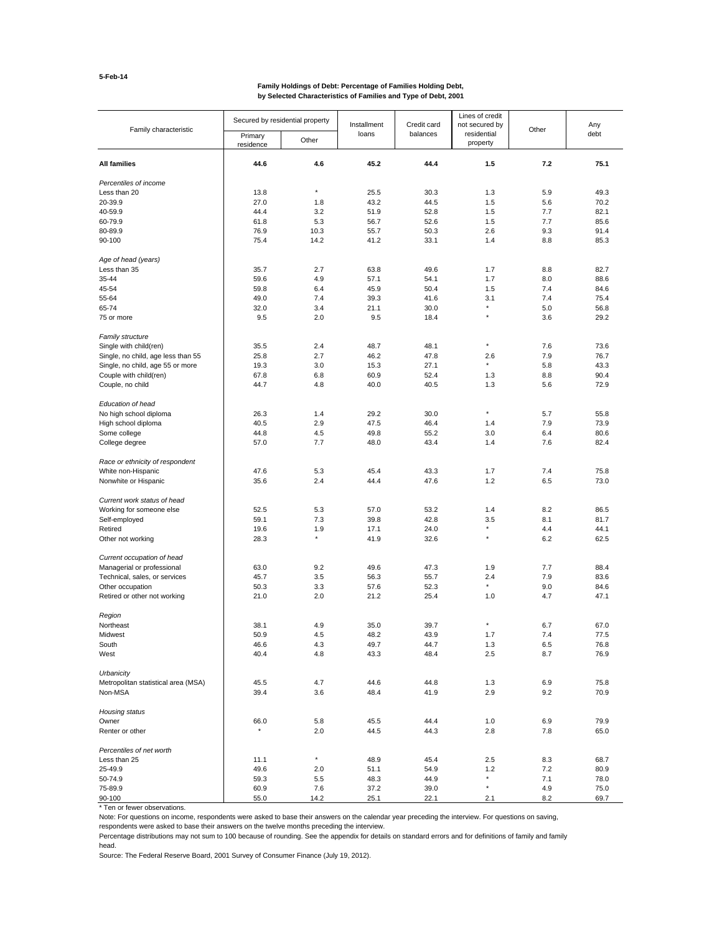#### **Family Holdings of Debt: Percentage of Families Holding Debt, by Selected Characteristics of Families and Type of Debt, 2001**

| Family characteristic               | Secured by residential property |          | Installment | Credit card | Lines of credit<br>not secured by | Other | Any<br>debt |
|-------------------------------------|---------------------------------|----------|-------------|-------------|-----------------------------------|-------|-------------|
|                                     | Primary<br>residence            | Other    | loans       | balances    | residential<br>property           |       |             |
| All families                        | 44.6                            | 4.6      | 45.2        | 44.4        | 1.5                               | 7.2   | 75.1        |
| Percentiles of income               |                                 |          |             |             |                                   |       |             |
| Less than 20                        | 13.8                            | $\star$  | 25.5        | 30.3        | 1.3                               | 5.9   | 49.3        |
| 20-39.9                             | 27.0                            | 1.8      | 43.2        | 44.5        | 1.5                               | 5.6   | 70.2        |
| 40-59.9                             | 44.4                            | 3.2      | 51.9        | 52.8        | 1.5                               | 7.7   | 82.1        |
| 60-79.9                             | 61.8                            | 5.3      | 56.7        | 52.6        | 1.5                               | 7.7   | 85.6        |
| 80-89.9                             | 76.9                            | 10.3     | 55.7        | 50.3        | 2.6                               | 9.3   | 91.4        |
| 90-100                              | 75.4                            | 14.2     | 41.2        | 33.1        | 1.4                               | 8.8   | 85.3        |
| Age of head (years)                 |                                 |          |             |             |                                   |       |             |
| Less than 35                        | 35.7                            | 2.7      | 63.8        | 49.6        | 1.7                               | 8.8   | 82.7        |
| 35-44                               | 59.6                            | 4.9      | 57.1        | 54.1        | 1.7                               | 8.0   | 88.6        |
| 45-54                               | 59.8                            | 6.4      | 45.9        | 50.4        | 1.5                               | 7.4   | 84.6        |
| 55-64                               | 49.0                            | 7.4      | 39.3        | 41.6        | 3.1                               | 7.4   | 75.4        |
| 65-74                               | 32.0                            | 3.4      | 21.1        | 30.0        | ×                                 | 5.0   | 56.8        |
| 75 or more                          | 9.5                             | 2.0      | 9.5         | 18.4        | $\star$                           | 3.6   | 29.2        |
| <b>Family structure</b>             |                                 |          |             |             |                                   |       |             |
| Single with child(ren)              | 35.5                            | 2.4      | 48.7        | 48.1        | $\star$                           | 7.6   | 73.6        |
| Single, no child, age less than 55  | 25.8                            | 2.7      | 46.2        | 47.8        | 2.6                               | 7.9   | 76.7        |
| Single, no child, age 55 or more    | 19.3                            | 3.0      | 15.3        | 27.1        | $\star$                           | 5.8   | 43.3        |
| Couple with child(ren)              | 67.8                            | 6.8      | 60.9        | 52.4        | 1.3                               | 8.8   | 90.4        |
| Couple, no child                    | 44.7                            | 4.8      | 40.0        | 40.5        | 1.3                               | 5.6   | 72.9        |
|                                     |                                 |          |             |             |                                   |       |             |
| Education of head                   |                                 |          |             |             | $\star$                           |       |             |
| No high school diploma              | 26.3                            | 1.4      | 29.2        | 30.0        |                                   | 5.7   | 55.8        |
| High school diploma                 | 40.5                            | 2.9      | 47.5        | 46.4        | 1.4                               | 7.9   | 73.9        |
| Some college                        | 44.8                            | 4.5      | 49.8        | 55.2        | 3.0                               | 6.4   | 80.6        |
| College degree                      | 57.0                            | 7.7      | 48.0        | 43.4        | 1.4                               | 7.6   | 82.4        |
| Race or ethnicity of respondent     |                                 |          |             |             |                                   |       |             |
| White non-Hispanic                  | 47.6                            | 5.3      | 45.4        | 43.3        | 1.7                               | 7.4   | 75.8        |
| Nonwhite or Hispanic                | 35.6                            | 2.4      | 44.4        | 47.6        | 1.2                               | 6.5   | 73.0        |
| Current work status of head         |                                 |          |             |             |                                   |       |             |
| Working for someone else            | 52.5                            | 5.3      | 57.0        | 53.2        | 1.4                               | 8.2   | 86.5        |
| Self-employed                       | 59.1                            | 7.3      | 39.8        | 42.8        | 3.5                               | 8.1   | 81.7        |
| Retired                             | 19.6                            | 1.9      | 17.1        | 24.0        | $\star$                           | 4.4   | 44.1        |
| Other not working                   | 28.3                            | $^\star$ | 41.9        | 32.6        | $\star$                           | 6.2   | 62.5        |
| Current occupation of head          |                                 |          |             |             |                                   |       |             |
| Managerial or professional          | 63.0                            | 9.2      | 49.6        | 47.3        | 1.9                               | 7.7   | 88.4        |
| Technical, sales, or services       | 45.7                            | 3.5      | 56.3        | 55.7        | 2.4                               | 7.9   | 83.6        |
| Other occupation                    | 50.3                            | 3.3      | 57.6        | 52.3        | $\star$                           | 9.0   | 84.6        |
| Retired or other not working        | 21.0                            | 2.0      | 21.2        | 25.4        | 1.0                               | 4.7   | 47.1        |
| Region                              |                                 |          |             |             |                                   |       |             |
| Northeast                           | 38.1                            | 4.9      | 35.0        | 39.7        | $\star$                           | 6.7   | 67.0        |
| Midwest                             | 50.9                            | 4.5      | 48.2        | 43.9        | 1.7                               | 7.4   | 77.5        |
| South                               | 46.6                            | 4.3      | 49.7        | 44.7        | 1.3                               | 6.5   | 76.8        |
| West                                | 40.4                            | 4.8      | 43.3        | 48.4        | 2.5                               | 8.7   | 76.9        |
| Urbanicity                          |                                 |          |             |             |                                   |       |             |
| Metropolitan statistical area (MSA) | 45.5                            | 4.7      | 44.6        | 44.8        | 1.3                               | 6.9   | 75.8        |
| Non-MSA                             | 39.4                            | 3.6      | 48.4        | 41.9        | 2.9                               | 9.2   | 70.9        |
| Housing status                      |                                 |          |             |             |                                   |       |             |
| Owner                               | 66.0                            | 5.8      | 45.5        | 44.4        | 1.0                               | 6.9   | 79.9        |
| Renter or other                     | $^\star$                        | 2.0      | 44.5        | 44.3        | 2.8                               | 7.8   | 65.0        |
| Percentiles of net worth            |                                 |          |             |             |                                   |       |             |
| Less than 25                        | 11.1                            | $^\star$ | 48.9        | 45.4        | 2.5                               | 8.3   | 68.7        |
| 25-49.9                             | 49.6                            | 2.0      | 51.1        | 54.9        | 1.2                               | 7.2   | 80.9        |
| 50-74.9                             | 59.3                            | 5.5      | 48.3        | 44.9        | $\star$                           | 7.1   | 78.0        |
| 75-89.9                             | 60.9                            | 7.6      | 37.2        | 39.0        | $^\star$                          | 4.9   | 75.0        |
| 90-100                              | 55.0                            | 14.2     | 25.1        | 22.1        | 2.1                               | 8.2   | 69.7        |

\* Ten or fewer observations.

Note: For questions on income, respondents were asked to base their answers on the calendar year preceding the interview. For questions on saving,

respondents were asked to base their answers on the twelve months preceding the interview.

Percentage distributions may not sum to 100 because of rounding. See the appendix for details on standard errors and for definitions of family and family head.

Source: The Federal Reserve Board, 2001 Survey of Consumer Finance (July 19, 2012).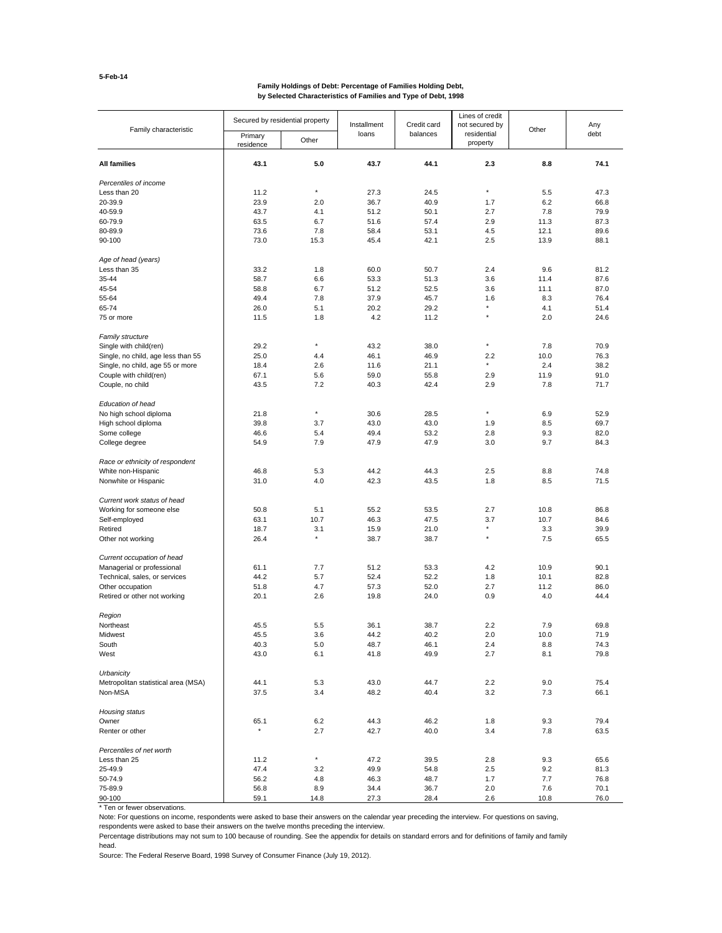# **Family Holdings of Debt: Percentage of Families Holding Debt, by Selected Characteristics of Families and Type of Debt, 1998**

| Family characteristic                                      | Secured by residential property |                | Installment  | Credit card  | Lines of credit<br>not secured by | Other       | Any<br>debt  |
|------------------------------------------------------------|---------------------------------|----------------|--------------|--------------|-----------------------------------|-------------|--------------|
|                                                            | Primary<br>residence            | Other          | loans        | balances     | residential<br>property           |             |              |
| <b>All families</b>                                        | 43.1                            | 5.0            | 43.7         | 44.1         | 2.3                               | 8.8         | 74.1         |
| Percentiles of income                                      |                                 |                |              |              |                                   |             |              |
| Less than 20                                               | 11.2                            | $\star$        | 27.3         | 24.5         | $\star$                           | 5.5         | 47.3         |
| 20-39.9                                                    | 23.9                            | 2.0            | 36.7         | 40.9         | 1.7                               | 6.2         | 66.8         |
| 40-59.9                                                    | 43.7                            | 4.1            | 51.2         | 50.1         | 2.7                               | 7.8         | 79.9         |
| 60-79.9                                                    | 63.5                            | 6.7            | 51.6         | 57.4         | 2.9                               | 11.3        | 87.3         |
| 80-89.9                                                    | 73.6                            | 7.8            | 58.4         | 53.1         | 4.5                               | 12.1        | 89.6         |
| 90-100                                                     | 73.0                            | 15.3           | 45.4         | 42.1         | 2.5                               | 13.9        | 88.1         |
| Age of head (years)                                        |                                 |                |              |              |                                   |             |              |
| Less than 35                                               | 33.2                            | 1.8            | 60.0         | 50.7         | 2.4                               | 9.6         | 81.2         |
| 35-44                                                      | 58.7                            | 6.6            | 53.3         | 51.3         | 3.6                               | 11.4        | 87.6         |
| 45-54                                                      | 58.8                            | 6.7            | 51.2         | 52.5         | 3.6                               | 11.1        | 87.0         |
| 55-64                                                      | 49.4                            | 7.8            | 37.9         | 45.7         | 1.6                               | 8.3         | 76.4         |
| 65-74                                                      | 26.0                            | 5.1            | 20.2         | 29.2         | $\star$                           | 4.1         | 51.4         |
| 75 or more                                                 | 11.5                            | 1.8            | 4.2          | 11.2         |                                   | 2.0         | 24.6         |
| <b>Family structure</b>                                    | 29.2                            | $^\star$       | 43.2         |              | $\star$                           |             | 70.9         |
| Single with child(ren)                                     | 25.0                            |                |              | 38.0         |                                   | 7.8<br>10.0 |              |
| Single, no child, age less than 55                         | 18.4                            | 4.4<br>2.6     | 46.1<br>11.6 | 46.9<br>21.1 | 2.2<br>$\star$                    | 2.4         | 76.3<br>38.2 |
| Single, no child, age 55 or more<br>Couple with child(ren) |                                 | 5.6            |              | 55.8         | 2.9                               | 11.9        | 91.0         |
|                                                            | 67.1                            |                | 59.0         |              |                                   |             |              |
| Couple, no child                                           | 43.5                            | 7.2            | 40.3         | 42.4         | 2.9                               | 7.8         | 71.7         |
| Education of head                                          |                                 |                |              |              |                                   |             |              |
| No high school diploma                                     | 21.8                            | $\star$        | 30.6         | 28.5         | $\star$                           | 6.9         | 52.9         |
| High school diploma                                        | 39.8                            | 3.7            | 43.0         | 43.0         | 1.9                               | 8.5         | 69.7         |
| Some college                                               | 46.6                            | 5.4            | 49.4         | 53.2         | 2.8                               | 9.3         | 82.0         |
| College degree                                             | 54.9                            | 7.9            | 47.9         | 47.9         | 3.0                               | 9.7         | 84.3         |
| Race or ethnicity of respondent                            |                                 |                |              |              |                                   |             |              |
| White non-Hispanic                                         | 46.8                            | 5.3            | 44.2         | 44.3         | 2.5                               | 8.8         | 74.8         |
| Nonwhite or Hispanic                                       | 31.0                            | 4.0            | 42.3         | 43.5         | 1.8                               | 8.5         | 71.5         |
| Current work status of head                                |                                 |                |              |              |                                   |             |              |
| Working for someone else                                   | 50.8                            | 5.1            | 55.2         | 53.5         | 2.7                               | 10.8        | 86.8         |
| Self-employed                                              | 63.1                            | 10.7           | 46.3         | 47.5         | 3.7                               | 10.7        | 84.6         |
| Retired                                                    | 18.7                            | 3.1<br>$\star$ | 15.9         | 21.0         | $\star$                           | 3.3         | 39.9         |
| Other not working                                          | 26.4                            |                | 38.7         | 38.7         |                                   | 7.5         | 65.5         |
| Current occupation of head                                 |                                 |                |              |              |                                   |             |              |
| Managerial or professional                                 | 61.1                            | 7.7            | 51.2         | 53.3         | 4.2                               | 10.9        | 90.1         |
| Technical, sales, or services                              | 44.2                            | 5.7            | 52.4         | 52.2         | 1.8                               | 10.1        | 82.8         |
| Other occupation                                           | 51.8                            | 4.7            | 57.3         | 52.0         | 2.7                               | 11.2        | 86.0         |
| Retired or other not working                               | 20.1                            | 2.6            | 19.8         | 24.0         | 0.9                               | 4.0         | 44.4         |
| Region                                                     |                                 |                |              |              |                                   |             |              |
| Northeast                                                  | 45.5                            | 5.5            | 36.1         | 38.7         | 2.2                               | 7.9         | 69.8         |
| Midwest                                                    | 45.5                            | 3.6            | 44.2         | 40.2         | 2.0                               | 10.0        | 71.9         |
| South                                                      | 40.3                            | $5.0\,$        | 48.7         | 46.1         | 2.4                               | 8.8         | 74.3         |
| West                                                       | 43.0                            | 6.1            | 41.8         | 49.9         | 2.7                               | 8.1         | 79.8         |
| Urbanicity                                                 |                                 |                |              |              |                                   |             |              |
| Metropolitan statistical area (MSA)                        | 44.1                            | 5.3            | 43.0         | 44.7         | 2.2                               | 9.0         | 75.4         |
| Non-MSA                                                    | 37.5                            | 3.4            | 48.2         | 40.4         | 3.2                               | 7.3         | 66.1         |
| Housing status                                             |                                 |                |              |              |                                   |             |              |
| Owner                                                      | 65.1<br>$\star$                 | 6.2            | 44.3         | 46.2         | 1.8                               | 9.3         | 79.4         |
| Renter or other                                            |                                 | 2.7            | 42.7         | 40.0         | 3.4                               | 7.8         | 63.5         |
| Percentiles of net worth                                   |                                 | $^\star$       |              |              |                                   |             |              |
| Less than 25                                               | 11.2                            |                | 47.2         | 39.5         | 2.8                               | 9.3         | 65.6         |
| 25-49.9<br>50-74.9                                         | 47.4                            | 3.2            | 49.9         | 54.8         | 2.5                               | 9.2         | 81.3         |
| 75-89.9                                                    | 56.2                            | 4.8            | 46.3         | 48.7         | 1.7                               | 7.7         | 76.8         |
| 90-100                                                     | 56.8<br>59.1                    | 8.9<br>14.8    | 34.4<br>27.3 | 36.7<br>28.4 | 2.0<br>2.6                        | 7.6<br>10.8 | 70.1<br>76.0 |
|                                                            |                                 |                |              |              |                                   |             |              |

\* Ten or fewer observations.

Note: For questions on income, respondents were asked to base their answers on the calendar year preceding the interview. For questions on saving,

respondents were asked to base their answers on the twelve months preceding the interview.

Percentage distributions may not sum to 100 because of rounding. See the appendix for details on standard errors and for definitions of family and family head.

Source: The Federal Reserve Board, 1998 Survey of Consumer Finance (July 19, 2012).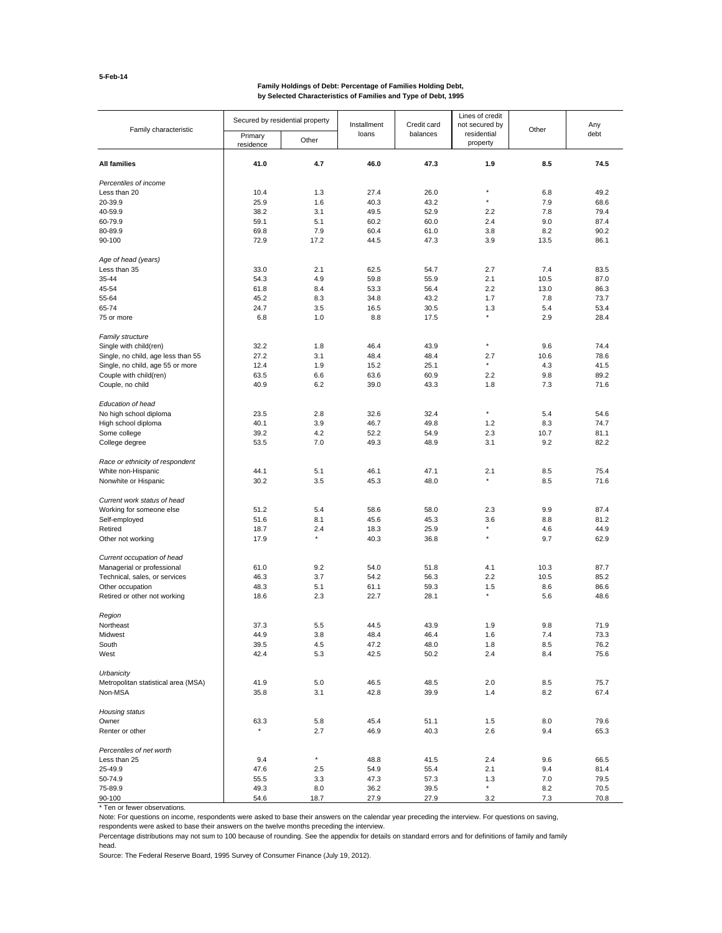# **Family Holdings of Debt: Percentage of Families Holding Debt, by Selected Characteristics of Families and Type of Debt, 1995**

| Family characteristic               | Secured by residential property |                | Installment  | Credit card  | Lines of credit<br>not secured by |             | Any<br>debt  |
|-------------------------------------|---------------------------------|----------------|--------------|--------------|-----------------------------------|-------------|--------------|
|                                     | Primary<br>residence            | Other          | loans        | balances     | residential<br>property           | Other       |              |
| <b>All families</b>                 | 41.0                            | 4.7            | 46.0         | 47.3         | 1.9                               | 8.5         | 74.5         |
| Percentiles of income               |                                 |                |              |              |                                   |             |              |
| Less than 20                        | 10.4                            | 1.3            | 27.4         | 26.0         | $\star$                           | 6.8         | 49.2         |
| 20-39.9                             | 25.9                            | 1.6            | 40.3         | 43.2         | $\star$                           | 7.9         | 68.6         |
| 40-59.9                             | 38.2                            | 3.1            | 49.5         | 52.9         | 2.2                               | 7.8         | 79.4         |
| 60-79.9                             | 59.1                            | 5.1            | 60.2         | 60.0         | 2.4                               | 9.0         | 87.4         |
| 80-89.9                             | 69.8                            | 7.9            | 60.4         | 61.0         | 3.8                               | 8.2         | 90.2         |
| 90-100                              | 72.9                            | 17.2           | 44.5         | 47.3         | 3.9                               | 13.5        | 86.1         |
| Age of head (years)                 |                                 |                |              |              |                                   |             |              |
| Less than 35                        | 33.0                            | 2.1            | 62.5         | 54.7         | 2.7                               | 7.4         | 83.5         |
| 35-44                               | 54.3                            | 4.9            | 59.8         | 55.9         | 2.1                               | 10.5        | 87.0         |
| 45-54                               | 61.8                            | 8.4            | 53.3         | 56.4         | 2.2                               | 13.0        | 86.3         |
| 55-64                               | 45.2                            | 8.3            | 34.8         | 43.2         | 1.7                               | 7.8         | 73.7         |
| 65-74                               | 24.7                            | 3.5            | 16.5         | 30.5         | 1.3                               | 5.4         | 53.4         |
| 75 or more                          | 6.8                             | 1.0            | 8.8          | 17.5         | $\star$                           | 2.9         | 28.4         |
| <b>Family structure</b>             |                                 |                |              |              | $\star$                           |             | 74.4         |
| Single with child(ren)              | 32.2                            | 1.8            | 46.4         | 43.9         |                                   | 9.6         |              |
| Single, no child, age less than 55  | 27.2<br>12.4                    | 3.1<br>1.9     | 48.4<br>15.2 | 48.4<br>25.1 | 2.7<br>$\star$                    | 10.6<br>4.3 | 78.6<br>41.5 |
| Single, no child, age 55 or more    |                                 | 6.6            |              |              | 2.2                               | 9.8         | 89.2         |
| Couple with child(ren)              | 63.5                            |                | 63.6         | 60.9         |                                   |             |              |
| Couple, no child                    | 40.9                            | 6.2            | 39.0         | 43.3         | 1.8                               | 7.3         | 71.6         |
| Education of head                   |                                 |                |              |              |                                   |             |              |
| No high school diploma              | 23.5                            | 2.8            | 32.6         | 32.4         | $\star$                           | 5.4         | 54.6         |
| High school diploma                 | 40.1                            | 3.9            | 46.7         | 49.8         | 1.2                               | 8.3         | 74.7         |
| Some college                        | 39.2                            | 4.2            | 52.2         | 54.9         | 2.3                               | 10.7        | 81.1         |
| College degree                      | 53.5                            | 7.0            | 49.3         | 48.9         | 3.1                               | 9.2         | 82.2         |
| Race or ethnicity of respondent     |                                 |                |              |              |                                   |             |              |
| White non-Hispanic                  | 44.1                            | 5.1            | 46.1         | 47.1         | 2.1                               | 8.5         | 75.4         |
| Nonwhite or Hispanic                | 30.2                            | 3.5            | 45.3         | 48.0         |                                   | 8.5         | 71.6         |
| Current work status of head         |                                 |                |              |              |                                   |             |              |
| Working for someone else            | 51.2                            | 5.4            | 58.6         | 58.0         | 2.3                               | 9.9         | 87.4         |
| Self-employed                       | 51.6                            | 8.1            | 45.6         | 45.3         | 3.6<br>$\star$                    | 8.8         | 81.2         |
| Retired                             | 18.7                            | 2.4<br>$\star$ | 18.3         | 25.9         | $\star$                           | 4.6         | 44.9         |
| Other not working                   | 17.9                            |                | 40.3         | 36.8         |                                   | 9.7         | 62.9         |
| Current occupation of head          |                                 |                |              |              |                                   |             |              |
| Managerial or professional          | 61.0                            | 9.2            | 54.0         | 51.8         | 4.1                               | 10.3        | 87.7         |
| Technical, sales, or services       | 46.3                            | 3.7            | 54.2         | 56.3         | 2.2                               | 10.5        | 85.2         |
| Other occupation                    | 48.3                            | 5.1            | 61.1         | 59.3         | 1.5                               | 8.6         | 86.6         |
| Retired or other not working        | 18.6                            | 2.3            | 22.7         | 28.1         |                                   | 5.6         | 48.6         |
| Region                              |                                 |                |              |              |                                   |             |              |
| Northeast                           | 37.3                            | 5.5            | 44.5         | 43.9         | 1.9                               | 9.8         | 71.9         |
| Midwest                             | 44.9                            | 3.8            | 48.4         | 46.4         | 1.6                               | 7.4         | 73.3         |
| South                               | 39.5                            | 4.5            | 47.2         | 48.0         | 1.8                               | 8.5         | 76.2         |
| West                                | 42.4                            | 5.3            | 42.5         | 50.2         | 2.4                               | 8.4         | 75.6         |
| Urbanicity                          |                                 |                |              |              |                                   |             |              |
| Metropolitan statistical area (MSA) | 41.9                            | 5.0            | 46.5         | 48.5         | 2.0                               | 8.5         | 75.7         |
| Non-MSA                             | 35.8                            | 3.1            | 42.8         | 39.9         | 1.4                               | 8.2         | 67.4         |
| Housing status                      |                                 |                |              |              |                                   |             |              |
| Owner                               | 63.3<br>$\star$                 | 5.8            | 45.4         | 51.1         | 1.5                               | 8.0         | 79.6         |
| Renter or other                     |                                 | 2.7            | 46.9         | 40.3         | 2.6                               | 9.4         | 65.3         |
| Percentiles of net worth            |                                 | $^\star$       |              |              |                                   |             |              |
| Less than 25                        | 9.4                             |                | 48.8         | 41.5         | 2.4                               | 9.6         | 66.5         |
| 25-49.9                             | 47.6                            | 2.5            | 54.9         | 55.4         | 2.1                               | 9.4         | 81.4         |
| 50-74.9<br>75-89.9                  | 55.5                            | 3.3            | 47.3         | 57.3         | 1.3<br>$\star$                    | 7.0         | 79.5         |
| 90-100                              | 49.3<br>54.6                    | 8.0<br>18.7    | 36.2<br>27.9 | 39.5<br>27.9 | 3.2                               | 8.2<br>7.3  | 70.5<br>70.8 |
|                                     |                                 |                |              |              |                                   |             |              |

\* Ten or fewer observations.

Note: For questions on income, respondents were asked to base their answers on the calendar year preceding the interview. For questions on saving,

respondents were asked to base their answers on the twelve months preceding the interview.

Percentage distributions may not sum to 100 because of rounding. See the appendix for details on standard errors and for definitions of family and family head.

Source: The Federal Reserve Board, 1995 Survey of Consumer Finance (July 19, 2012).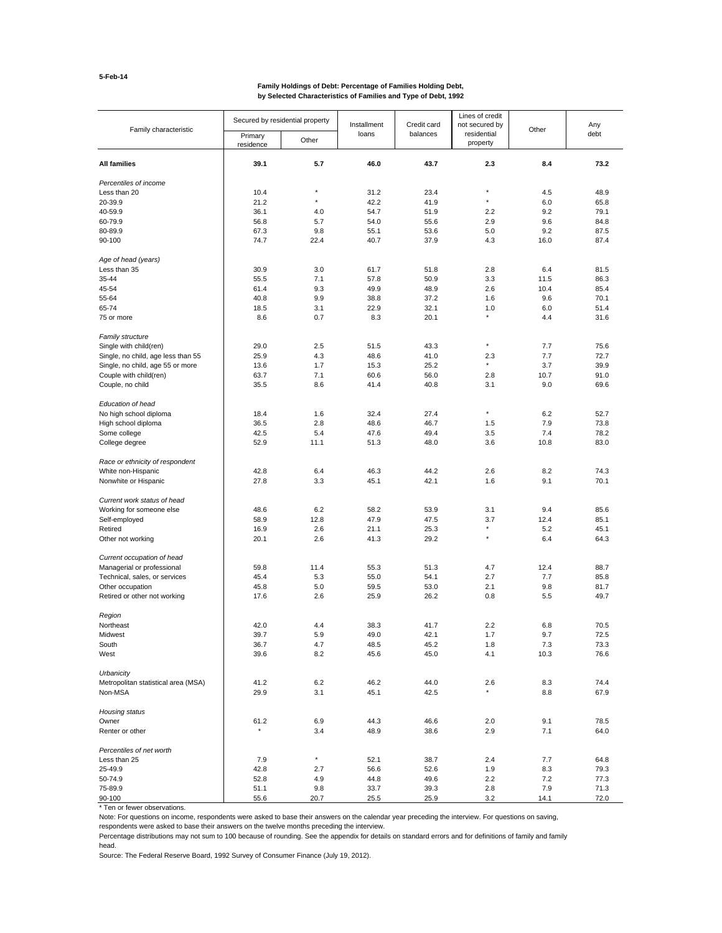# **Family Holdings of Debt: Percentage of Families Holding Debt, by Selected Characteristics of Families and Type of Debt, 1992**

| Family characteristic                                      | Secured by residential property |            | Installment  | Credit card  | Lines of credit<br>not secured by | Other      | Any<br>debt  |
|------------------------------------------------------------|---------------------------------|------------|--------------|--------------|-----------------------------------|------------|--------------|
|                                                            | Primary<br>residence            | Other      | loans        | balances     | residential<br>property           |            |              |
| <b>All families</b>                                        | 39.1                            | 5.7        | 46.0         | 43.7         | 2.3                               | 8.4        | 73.2         |
| Percentiles of income                                      |                                 |            |              |              |                                   |            |              |
| Less than 20                                               | 10.4                            | $\star$    | 31.2         | 23.4         | $\star$                           | 4.5        | 48.9         |
| 20-39.9                                                    | 21.2                            | $\star$    | 42.2         | 41.9         | $\star$                           | 6.0        | 65.8         |
| 40-59.9                                                    | 36.1                            | 4.0        | 54.7         | 51.9         | 2.2                               | 9.2        | 79.1         |
| 60-79.9                                                    | 56.8                            | 5.7        | 54.0         | 55.6         | 2.9                               | 9.6        | 84.8         |
| 80-89.9                                                    | 67.3                            | 9.8        | 55.1         | 53.6         | 5.0                               | 9.2        | 87.5         |
| 90-100                                                     | 74.7                            | 22.4       | 40.7         | 37.9         | 4.3                               | 16.0       | 87.4         |
| Age of head (years)                                        |                                 |            |              |              |                                   |            |              |
| Less than 35                                               | 30.9                            | 3.0        | 61.7         | 51.8         | 2.8                               | 6.4        | 81.5         |
| 35-44                                                      | 55.5                            | 7.1        | 57.8         | 50.9         | 3.3                               | 11.5       | 86.3         |
| 45-54                                                      | 61.4                            | 9.3        | 49.9         | 48.9         | 2.6                               | 10.4       | 85.4         |
| 55-64                                                      | 40.8                            | 9.9        | 38.8         | 37.2         | 1.6                               | 9.6        | 70.1         |
| 65-74                                                      | 18.5                            | 3.1        | 22.9         | 32.1         | 1.0                               | 6.0        | 51.4         |
| 75 or more                                                 | 8.6                             | 0.7        | 8.3          | 20.1         | $\star$                           | 4.4        | 31.6         |
| <b>Family structure</b>                                    | 29.0                            |            |              |              | $\star$                           |            |              |
| Single with child(ren)                                     |                                 | 2.5        | 51.5         | 43.3         |                                   | 7.7        | 75.6         |
| Single, no child, age less than 55                         | 25.9<br>13.6                    | 4.3<br>1.7 | 48.6<br>15.3 | 41.0<br>25.2 | 2.3<br>$\star$                    | 7.7<br>3.7 | 72.7<br>39.9 |
| Single, no child, age 55 or more<br>Couple with child(ren) |                                 | 7.1        |              |              |                                   | 10.7       | 91.0         |
|                                                            | 63.7                            |            | 60.6         | 56.0         | 2.8                               |            |              |
| Couple, no child                                           | 35.5                            | 8.6        | 41.4         | 40.8         | 3.1                               | 9.0        | 69.6         |
| Education of head                                          |                                 |            |              |              |                                   |            |              |
| No high school diploma                                     | 18.4                            | 1.6        | 32.4         | 27.4         | $\star$                           | 6.2        | 52.7         |
| High school diploma                                        | 36.5                            | 2.8        | 48.6         | 46.7         | 1.5                               | 7.9        | 73.8         |
| Some college                                               | 42.5                            | 5.4        | 47.6         | 49.4         | 3.5                               | 7.4        | 78.2         |
| College degree                                             | 52.9                            | 11.1       | 51.3         | 48.0         | 3.6                               | 10.8       | 83.0         |
| Race or ethnicity of respondent                            |                                 |            |              |              |                                   |            |              |
| White non-Hispanic<br>Nonwhite or Hispanic                 | 42.8<br>27.8                    | 6.4<br>3.3 | 46.3<br>45.1 | 44.2<br>42.1 | 2.6<br>1.6                        | 8.2<br>9.1 | 74.3<br>70.1 |
| Current work status of head                                |                                 |            |              |              |                                   |            |              |
| Working for someone else                                   | 48.6                            | 6.2        | 58.2         | 53.9         | 3.1                               | 9.4        | 85.6         |
| Self-employed                                              | 58.9                            | 12.8       | 47.9         | 47.5         | 3.7                               | 12.4       | 85.1         |
| Retired                                                    | 16.9                            | 2.6        | 21.1         | 25.3         |                                   | 5.2        | 45.1         |
| Other not working                                          | 20.1                            | 2.6        | 41.3         | 29.2         | $\star$                           | 6.4        | 64.3         |
| Current occupation of head                                 |                                 |            |              |              |                                   |            |              |
| Managerial or professional                                 | 59.8                            | 11.4       | 55.3         | 51.3         | 4.7                               | 12.4       | 88.7         |
| Technical, sales, or services                              | 45.4                            | 5.3        | 55.0         | 54.1         | 2.7                               | 7.7        | 85.8         |
| Other occupation                                           | 45.8                            | 5.0        | 59.5         | 53.0         | 2.1                               | 9.8        | 81.7         |
| Retired or other not working                               | 17.6                            | 2.6        | 25.9         | 26.2         | 0.8                               | 5.5        | 49.7         |
| Region                                                     |                                 |            |              |              |                                   |            |              |
| Northeast                                                  | 42.0                            | 4.4        | 38.3         | 41.7         | 2.2                               | 6.8        | 70.5         |
| Midwest                                                    | 39.7                            | 5.9        | 49.0         | 42.1         | 1.7                               | 9.7        | 72.5         |
| South                                                      | 36.7                            | 4.7        | 48.5         | 45.2         | 1.8                               | 7.3        | 73.3         |
| West                                                       | 39.6                            | 8.2        | 45.6         | 45.0         | 4.1                               | 10.3       | 76.6         |
| Urbanicity                                                 |                                 |            |              |              |                                   |            |              |
| Metropolitan statistical area (MSA)                        | 41.2                            | 6.2        | 46.2         | 44.0         | 2.6                               | 8.3        | 74.4         |
| Non-MSA                                                    | 29.9                            | 3.1        | 45.1         | 42.5         |                                   | 8.8        | 67.9         |
| Housing status                                             |                                 |            |              |              |                                   |            |              |
| Owner                                                      | 61.2                            | 6.9        | 44.3         | 46.6         | 2.0                               | 9.1        | 78.5         |
| Renter or other                                            |                                 | 3.4        | 48.9         | 38.6         | 2.9                               | 7.1        | 64.0         |
| Percentiles of net worth<br>Less than 25                   | 7.9                             | $^\star$   | 52.1         | 38.7         | 2.4                               | 7.7        | 64.8         |
| 25-49.9                                                    | 42.8                            | 2.7        | 56.6         | 52.6         | 1.9                               | 8.3        | 79.3         |
| 50-74.9                                                    | 52.8                            | 4.9        | 44.8         | 49.6         | 2.2                               | 7.2        | 77.3         |
| 75-89.9                                                    | 51.1                            | 9.8        | 33.7         | 39.3         | 2.8                               | 7.9        | 71.3         |
| 90-100                                                     | 55.6                            | 20.7       | 25.5         | 25.9         | 3.2                               | 14.1       | 72.0         |

\* Ten or fewer observations.

Note: For questions on income, respondents were asked to base their answers on the calendar year preceding the interview. For questions on saving,

respondents were asked to base their answers on the twelve months preceding the interview.

Percentage distributions may not sum to 100 because of rounding. See the appendix for details on standard errors and for definitions of family and family head.

Source: The Federal Reserve Board, 1992 Survey of Consumer Finance (July 19, 2012).